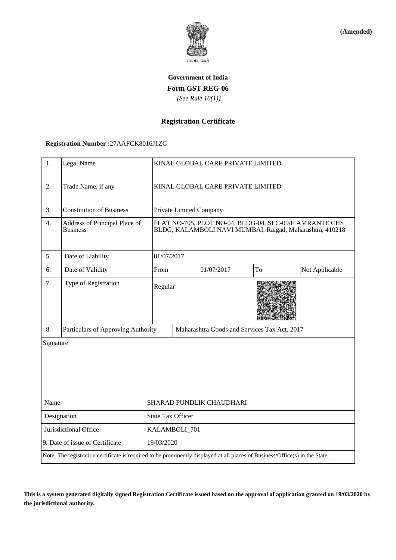

**(Amended)**

# **Government of India Form GST REG-06**  *[See Rule 10(1)]*

### **Registration Certificate**

### **Registration Number :**27AAFCK8016J1ZC

| 1.                                                                                                                           | Legal Name                                       | KINAL GLOBAL CARE PRIVATE LIMITED                                                                                  |                                              |            |    |                |  |
|------------------------------------------------------------------------------------------------------------------------------|--------------------------------------------------|--------------------------------------------------------------------------------------------------------------------|----------------------------------------------|------------|----|----------------|--|
| 2.                                                                                                                           | Trade Name, if any                               | KINAL GLOBAL CARE PRIVATE LIMITED                                                                                  |                                              |            |    |                |  |
| 3.                                                                                                                           | <b>Constitution of Business</b>                  | Private Limited Company                                                                                            |                                              |            |    |                |  |
| 4.                                                                                                                           | Address of Principal Place of<br><b>Business</b> | FLAT NO-705, PLOT NO-04, BLDG-04, SEC-09/E AMRANTE CHS<br>BLDG, KALAMBOLI NAVI MUMBAI, Raigad, Maharashtra, 410218 |                                              |            |    |                |  |
| 5.                                                                                                                           | Date of Liability                                | 01/07/2017                                                                                                         |                                              |            |    |                |  |
| 6.                                                                                                                           | Date of Validity                                 | From                                                                                                               |                                              | 01/07/2017 | To | Not Applicable |  |
| 7.                                                                                                                           | Type of Registration                             | Regular                                                                                                            |                                              |            |    |                |  |
| 8.                                                                                                                           | Particulars of Approving Authority               |                                                                                                                    | Maharashtra Goods and Services Tax Act, 2017 |            |    |                |  |
| Signature                                                                                                                    |                                                  |                                                                                                                    |                                              |            |    |                |  |
| Name                                                                                                                         |                                                  | SHARAD PUNDLIK CHAUDHARI                                                                                           |                                              |            |    |                |  |
| Designation                                                                                                                  |                                                  | <b>State Tax Officer</b>                                                                                           |                                              |            |    |                |  |
| Jurisdictional Office                                                                                                        |                                                  | KALAMBOLI_701                                                                                                      |                                              |            |    |                |  |
| 9. Date of issue of Certificate                                                                                              |                                                  | 19/03/2020                                                                                                         |                                              |            |    |                |  |
| Note: The registration certificate is required to be prominently displayed at all places of Business/Office(s) in the State. |                                                  |                                                                                                                    |                                              |            |    |                |  |

**This is a system generated digitally signed Registration Certificate issued based on the approval of application granted on 19/03/2020 by the jurisdictional authority.**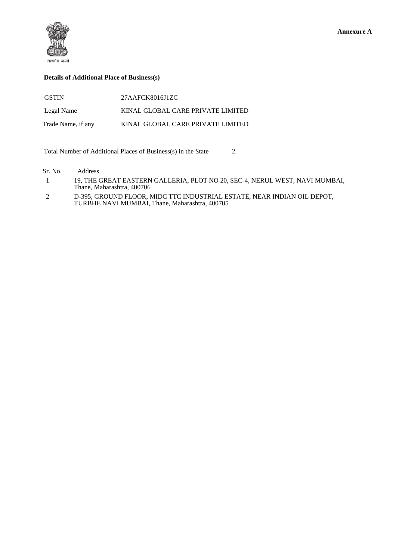

#### **Details of Additional Place of Business(s)**

| <b>GSTIN</b>       | 27AAFCK8016J1ZC                   |
|--------------------|-----------------------------------|
| Legal Name         | KINAL GLOBAL CARE PRIVATE LIMITED |
| Trade Name, if any | KINAL GLOBAL CARE PRIVATE LIMITED |

Total Number of Additional Places of Business(s) in the State 2

Sr. No. Address

 1 19, THE GREAT EASTERN GALLERIA, PLOT NO 20, SEC-4, NERUL WEST, NAVI MUMBAI, Thane, Maharashtra, 400706

 2 D-395, GROUND FLOOR, MIDC TTC INDUSTRIAL ESTATE, NEAR INDIAN OIL DEPOT, TURBHE NAVI MUMBAI, Thane, Maharashtra, 400705